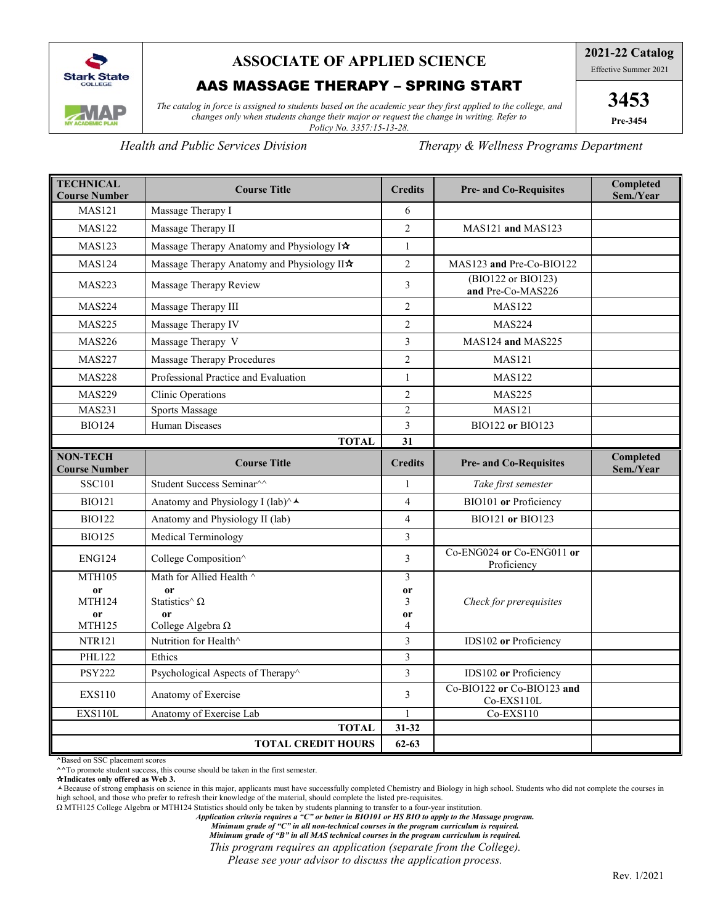

# **ASSOCIATE OF APPLIED SCIENCE**

## AAS MASSAGE THERAPY – SPRING START

*The catalog in force is assigned to students based on the academic year they first applied to the college, and changes only when students change their major or request the change in writing. Refer to Policy No. 3357:15-13-28.*

*Health and Public Services Division Therapy & Wellness Programs Department*

| <b>TECHNICAL</b><br><b>Course Number</b>                    | <b>Course Title</b>                                                                     | <b>Credits</b>                    | <b>Pre- and Co-Requisites</b>            | Completed<br>Sem./Year |
|-------------------------------------------------------------|-----------------------------------------------------------------------------------------|-----------------------------------|------------------------------------------|------------------------|
| <b>MAS121</b>                                               | Massage Therapy I                                                                       | 6                                 |                                          |                        |
| <b>MAS122</b>                                               | Massage Therapy II                                                                      | $\overline{2}$                    | MAS121 and MAS123                        |                        |
| <b>MAS123</b>                                               | Massage Therapy Anatomy and Physiology I*                                               | 1                                 |                                          |                        |
| <b>MAS124</b>                                               | Massage Therapy Anatomy and Physiology II*                                              | $\overline{2}$                    | MAS123 and Pre-Co-BIO122                 |                        |
| <b>MAS223</b>                                               | Massage Therapy Review                                                                  | 3                                 | (BIO122 or BIO123)<br>and Pre-Co-MAS226  |                        |
| <b>MAS224</b>                                               | Massage Therapy III                                                                     | $\overline{2}$                    | <b>MAS122</b>                            |                        |
| <b>MAS225</b>                                               | Massage Therapy IV                                                                      | $\overline{2}$                    | <b>MAS224</b>                            |                        |
| <b>MAS226</b>                                               | Massage Therapy V                                                                       | 3                                 | MAS124 and MAS225                        |                        |
| <b>MAS227</b>                                               | Massage Therapy Procedures                                                              | $\overline{2}$                    | <b>MAS121</b>                            |                        |
| <b>MAS228</b>                                               | Professional Practice and Evaluation                                                    | $\mathbf{1}$                      | <b>MAS122</b>                            |                        |
| <b>MAS229</b>                                               | Clinic Operations                                                                       | $\overline{2}$                    | <b>MAS225</b>                            |                        |
| <b>MAS231</b>                                               | <b>Sports Massage</b>                                                                   | $\overline{2}$                    | <b>MAS121</b>                            |                        |
| <b>BIO124</b>                                               | Human Diseases                                                                          | $\mathfrak{Z}$<br>$\overline{31}$ | <b>BIO122 or BIO123</b>                  |                        |
|                                                             | <b>TOTAL</b>                                                                            |                                   |                                          |                        |
| <b>NON-TECH</b><br><b>Course Number</b>                     | <b>Course Title</b>                                                                     | <b>Credits</b>                    | <b>Pre- and Co-Requisites</b>            | Completed<br>Sem./Year |
| <b>SSC101</b>                                               | Student Success Seminar^^                                                               | $\mathbf{1}$                      | Take first semester                      |                        |
| <b>BIO121</b>                                               | Anatomy and Physiology I (lab)^↓                                                        | $\overline{4}$                    | BIO101 or Proficiency                    |                        |
| <b>BIO122</b>                                               | Anatomy and Physiology II (lab)                                                         | $\overline{4}$                    | BIO121 or BIO123                         |                        |
| <b>BIO125</b>                                               | Medical Terminology                                                                     | 3                                 |                                          |                        |
| <b>ENG124</b>                                               | College Composition^                                                                    | $\overline{\mathbf{3}}$           | Co-ENG024 or Co-ENG011 or<br>Proficiency |                        |
| <b>MTH105</b><br>or<br><b>MTH124</b><br>or<br><b>MTH125</b> | Math for Allied Health ^<br>or<br>Statistics $\wedge \Omega$<br>0r<br>College Algebra Ω | 3<br><b>or</b><br>3<br>or<br>4    | Check for prerequisites                  |                        |
| <b>NTR121</b>                                               | Nutrition for Health^                                                                   | $\overline{3}$                    | IDS102 or Proficiency                    |                        |
| <b>PHL122</b>                                               | Ethics                                                                                  | $\overline{3}$                    |                                          |                        |
| <b>PSY222</b>                                               | Psychological Aspects of Therapy <sup>^</sup>                                           | $\mathfrak{Z}$                    | IDS102 or Proficiency                    |                        |
| <b>EXS110</b>                                               | Anatomy of Exercise                                                                     | $\overline{3}$                    | Co-BIO122 or Co-BIO123 and<br>Co-EXS110L |                        |
| EXS110L                                                     | Anatomy of Exercise Lab                                                                 |                                   | $Co$ -EXS110                             |                        |
| <b>TOTAL</b>                                                |                                                                                         | $31 - 32$<br>$62 - 63$            |                                          |                        |
| <b>TOTAL CREDIT HOURS</b>                                   |                                                                                         |                                   |                                          |                        |

**^**Based on SSC placement scores

**^^**To promote student success, this course should be taken in the first semester.

**Indicates only offered as Web 3.**

Because of strong emphasis on science in this major, applicants must have successfully completed Chemistry and Biology in high school. Students who did not complete the courses in high school, and those who prefer to refresh their knowledge of the material, should complete the listed pre-requisites.

Ω MTH125 College Algebra or MTH124 Statistics should only be taken by students planning to transfer to a four-year institution.

*Application criteria requires a "C" or better in BIO101 or HS BIO to apply to the Massage program. Minimum grade of "C" in all non-technical courses in the program curriculum is required.*

*Minimum grade of "B" in all MAS technical courses in the program curriculum is required.*

*This program requires an application (separate from the College).* 

*Please see your advisor to discuss the application process.*

Rev. 1/2021

**3453 Pre-3454**

Effective Summer 2021